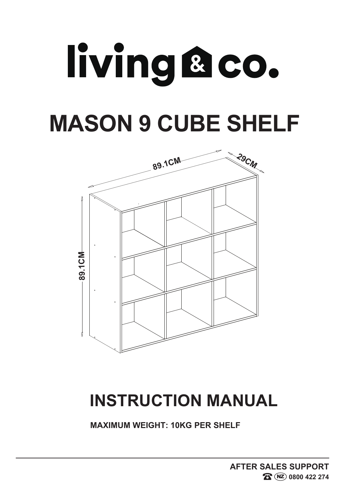## living aco. **MASON 9 CUBE SHELF**



### **INSTRUCTION MANUAL**

**MAXIMUM WEIGHT: 10KG PER SHELF**

**AFTER SALES SUPPORT**  $R$  **NZ** 0800 422 274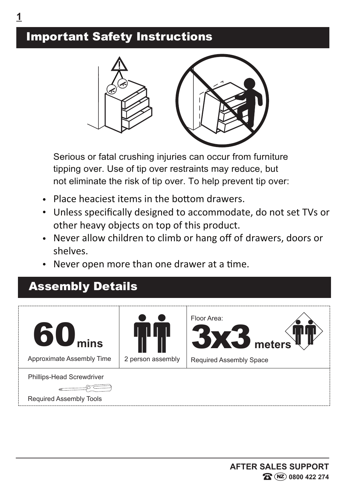#### Important Safety Instructions



Serious or fatal crushing injuries can occur from furniture tipping over. Use of tip over restraints may reduce, but not eliminate the risk of tip over. To help prevent tip over:

- Place heaciest items in the bottom drawers.
- Unless specifically designed to accommodate, do not set TVs or other heavy objects on top of this product.
- Never allow children to climb or hang off of drawers, doors or shelves.
- Never open more than one drawer at a time.

#### Assembly Details

| 60 <sub>miss</sub><br><b>Approximate Assembly Time</b>             | 2 person assembly | Floor Area:<br><b>BX3</b> meters<br><b>Required Assembly Space</b> |
|--------------------------------------------------------------------|-------------------|--------------------------------------------------------------------|
| <b>Phillips-Head Screwdriver</b><br><b>Required Assembly Tools</b> |                   |                                                                    |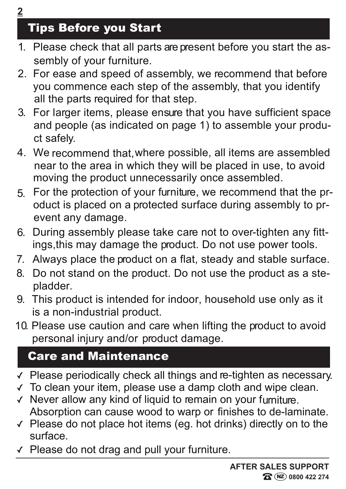#### Tips Before you Start

- 1. Please check that all parts are present before you start the as sembly of your furniture.
- 2. For ease and speed of assembly, we recommend that before you commence each step of the assembly, that you identify all the parts required for that step.
- 3. For larger items, please ensure that you have sufficient space and people (as indicated on page 1) to assemble your product safely.
- 4. We recommend that,where possible, all items are assembled near to the area in which they will be placed in use, to avoid moving the product unnecessarily once assembled.
- 5. For the protection of your furniture, we recommend that the product is placed on a protected surface during assembly to prevent any damage.
- 6. During assembly please take care not to over-tighten any fittings,this may damage the product. Do not use power tools.
- 7. Always place the product on a flat, steady and stable surface.
- 8. Do not stand on the product. Do not use the product as a stepladder.
- 9. This product is intended for indoor, household use only as it is a non-industrial product.
- 10. Please use caution and care when lifting the product to avoid personal injury and/or product damage.

#### Care and Maintenance

- Please periodically check all things and re-tighten as necessary.
- To clean your item, please use a damp cloth and wipe clean.  $\sqrt{ }$
- $\checkmark$  Never allow any kind of liquid to remain on your furniture. Absorption can cause wood to warp or finishes to de-laminate.
- $\vee$  Please do not place hot items (eg. hot drinks) directly on to the surface.
- Please do not drag and pull your furniture.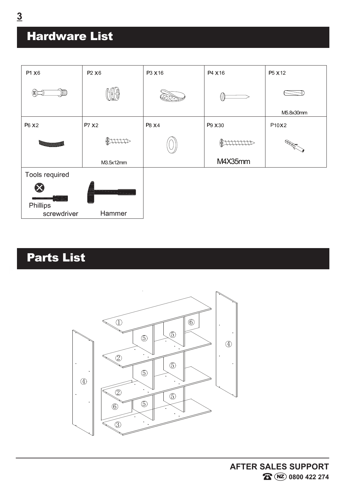#### Hardware List



#### Parts List



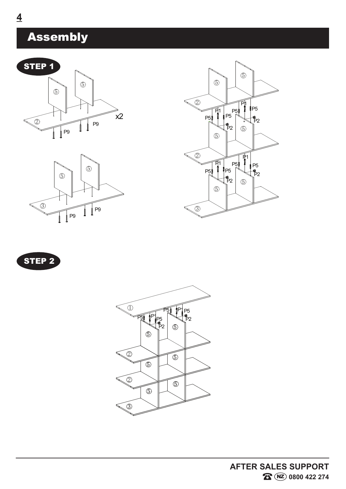#### Assembly









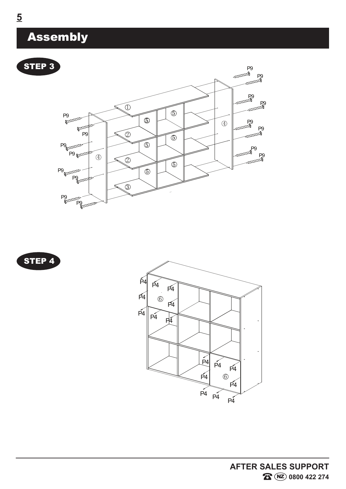#### Assembly







**AFTER SALES SUPPORT R D 0800 422 274**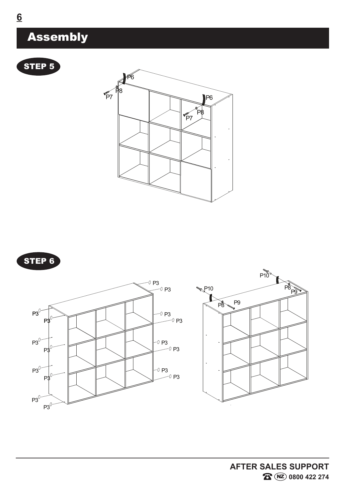









#### Assembly